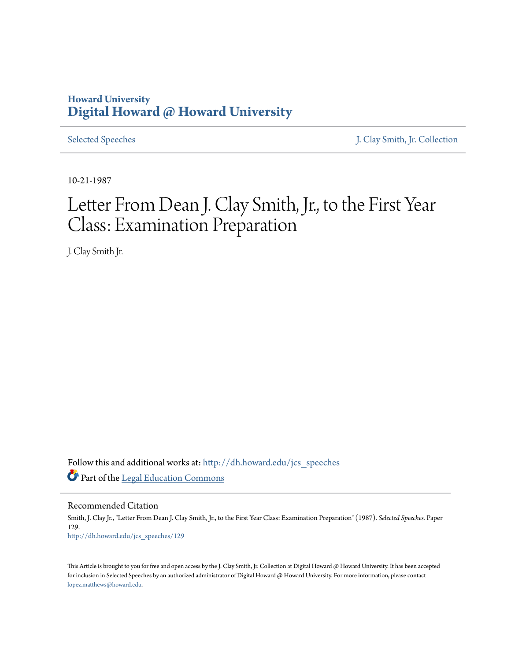## **Howard University [Digital Howard @ Howard University](http://dh.howard.edu?utm_source=dh.howard.edu%2Fjcs_speeches%2F129&utm_medium=PDF&utm_campaign=PDFCoverPages)**

[Selected Speeches](http://dh.howard.edu/jcs_speeches?utm_source=dh.howard.edu%2Fjcs_speeches%2F129&utm_medium=PDF&utm_campaign=PDFCoverPages) [J. Clay Smith, Jr. Collection](http://dh.howard.edu/jcsmith?utm_source=dh.howard.edu%2Fjcs_speeches%2F129&utm_medium=PDF&utm_campaign=PDFCoverPages)

10-21-1987

## Letter From Dean J. Clay Smith, Jr., to the First Year Class: Examination Preparation

J. Clay Smith Jr.

Follow this and additional works at: [http://dh.howard.edu/jcs\\_speeches](http://dh.howard.edu/jcs_speeches?utm_source=dh.howard.edu%2Fjcs_speeches%2F129&utm_medium=PDF&utm_campaign=PDFCoverPages) Part of the [Legal Education Commons](http://network.bepress.com/hgg/discipline/857?utm_source=dh.howard.edu%2Fjcs_speeches%2F129&utm_medium=PDF&utm_campaign=PDFCoverPages)

Recommended Citation Smith, J. Clay Jr., "Letter From Dean J. Clay Smith, Jr., to the First Year Class: Examination Preparation" (1987). *Selected Speeches.* Paper 129. [http://dh.howard.edu/jcs\\_speeches/129](http://dh.howard.edu/jcs_speeches/129?utm_source=dh.howard.edu%2Fjcs_speeches%2F129&utm_medium=PDF&utm_campaign=PDFCoverPages)

This Article is brought to you for free and open access by the J. Clay Smith, Jr. Collection at Digital Howard @ Howard University. It has been accepted for inclusion in Selected Speeches by an authorized administrator of Digital Howard @ Howard University. For more information, please contact [lopez.matthews@howard.edu.](mailto:lopez.matthews@howard.edu)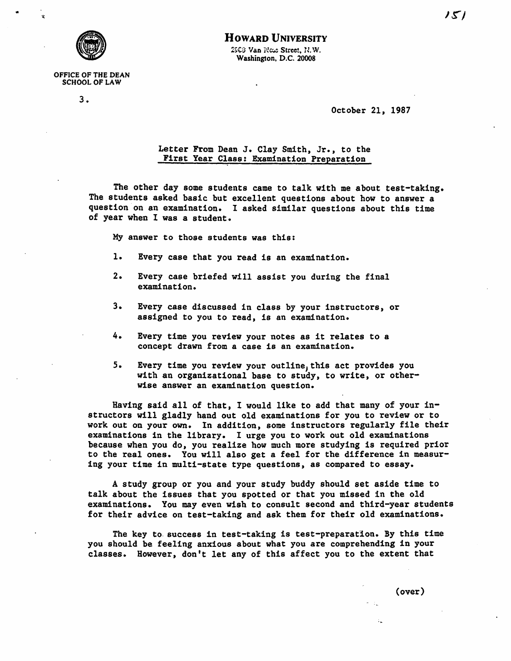

## HOWARD UNIVERSITY 2503 Van Noss Street, N.W. Washington. D.C. 20008

## OFFICE OF THE DEAN SCHOOL OF LAW

3.

October 21, 1987

Letter FTom Dean J. Clay Smith, Jr., to the First Year Class: Examination Preparation

The other day some students came to talk with me about test-taking. The students asked basic but excellent questions about how to answer a question on an examination. 1 asked similar questions about this time of year when 1 was a student.

My answer to those students was this:

- 1. Every case that you read is an examination.
- 2. Every case briefed will assist you during the final examination.
- 3. Every case discussed in class by your instructors, or assigned to you to read, is an examination.
- 4. Every time you review your notes as it relates to a concept drawn from a case is an examination.
- 5. Every time you review your outline, this act provides you with an organizational base to study, to write, or otherwise answer an examination question.

Having said all of that, I would like to add that many of your instructors will gladly hand out old examinations for you to review or to work out on your own. In addition, some instructors regularly file their examinations in the library. I urge you to work out old examinations because when you do, you realize how much more studying is required prior to the real ones. You will also get a feel for the difference in measuring your time in multi-state type questions, as compared to essay.

A study group or you and your study buddy should set aside time to talk about the issues that you spotted or that you missed in the old examinations. You may even wish to consult second and third-year students for their advice on test-taking and ask them for their old examinations.

The key to. success in test-taking is test-preparation. By this time you should be feeling anxious about what you are comprehending in your classes. However, don't let any of this affect you to the extent that

(over)